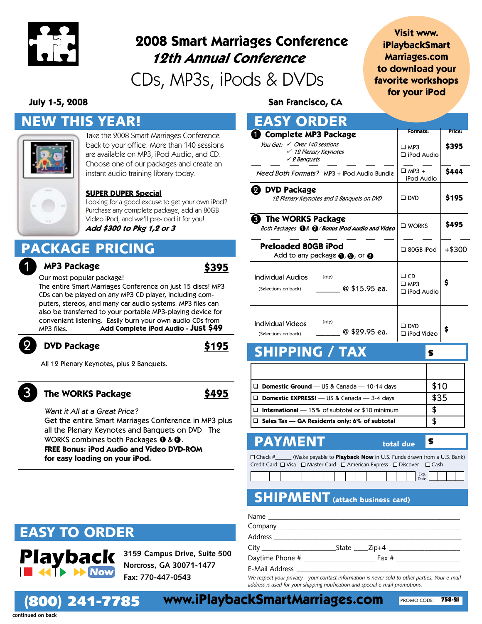

# **2008 Smart Marriages Conference 12th Annual Conference**

CDs, MP3s, iPods & DVDs

## **Visit www. iPlaybackSmart Marriages.com to download your favorite workshops for your iPod**

## NEW THIS YEAR!



Take the 2008 Smart Marriages Conference back to your office. More than 140 sessions are available on MP3, iPod Audio, and CD. Choose one of our packages and create an instant audio training library today.

### **SUPER DUPER Special**

Looking for a good excuse to get your own iPod? Purchase any complete package, add an 80GB Video iPod, and we'll pre-load it for you! **Add \$300 to Pkg 1,2 or 3**

# PACKAGE PRICING

#### 1 **MP3 Package**

## Our most popular package!

**DVD Package**

**Add Complete iPod Audio - Just \$49** The entire Smart Marriages Conference on just 15 discs! MP3 CDs can be played on any MP3 CD player, including computers, stereos, and many car audio systems. MP3 files can also be transferred to your portable MP3-playing device for convenient listening. Easily burn your own audio CDs from MP3 files.

# 2

All 12 Plenary Keynotes, plus 2 Banquets.

## 3

### **The WORKS Package**

Want it All at a Great Price? Get the entire Smart Marriages Conference in MP3 plus

all the Plenary Keynotes and Banquets on DVD. The WORKS combines both Packages  $\bm{\mathsf{0}}$  &  $\bm{\mathsf{2}}$  . **FREE Bonus: iPod Audio and Video DVD-ROM for easy loading on your iPod.**

# EASY TO ORDER

(800) 241-7785

**Playback 3159 Campus Drive, Suite 500 Norcross, GA 30071-1477 Fax: 770-447-0543**

**July 1-5, 2008 San Francisco, CA**

| <b>EASY ORDER</b>                                                                                         |                                                 |          |
|-----------------------------------------------------------------------------------------------------------|-------------------------------------------------|----------|
| Complete MP3 Package                                                                                      | <b>Formats:</b>                                 | Price:   |
| You Get: $\checkmark$ Over 140 sessions<br>√ 12 Plenary Keynotes<br>$\checkmark$ 2 Banquets               | $\square$ MP3<br>$\Box$ iPod Audio              | \$395    |
| Need Both Formats? MP3 + iPod Audio Bundle                                                                | $\Box$ MP3 +<br>iPod Audio                      | \$444    |
| 2 DVD Package<br>12 Plenary Keynotes and 2 Banquets on DVD                                                | $\square$ DVD                                   | \$195    |
| <b>3</b> The WORKS Package<br>Both Packages $\mathbf{0}$ & $\mathbf{\Omega}$ / Bonus iPod Audio and Video | $\square$ WORKS                                 | \$495    |
| Preloaded 80GB iPod<br>Add to any package $\mathbf{0}, \mathbf{\Omega}$ , or $\mathbf{\Theta}$            | $\Box$ 80GB iPod                                | $+ $300$ |
| <b>Individual Audios</b><br>$($ aty $)$<br>@ \$15.95 ea.<br>(Selections on back)                          | $\Box$ CD<br>$\square$ MP3<br>$\Box$ iPod Audio | \$       |
| (qty)<br><b>Individual Videos</b><br>@ \$29.95 ea.<br>(Selections on back)                                | $\square$ DVD<br>□ iPod Video                   | \$       |
| <b>SHIPPING / TAX</b>                                                                                     | S                                               |          |

| <b>Domestic Ground</b> — US & Canada — 10-14 days        | \$10 |
|----------------------------------------------------------|------|
| <b>Domestic EXPRESS!</b> - US & Canada - 3-4 days        | \$35 |
| $\Box$ International $-15\%$ of subtotal or \$10 minimum | Ъ    |
| $\Box$ Sales Tax — GA Residents only: 6% of subtotal     |      |

## **PAYMENT** total due

□ Check #\_\_\_\_\_\_ (Make payable to Playback Now in U.S. Funds drawn from a U.S. Bank) Credit Card: □ Visa □ Master Card □ American Express □ Discover □ Cash

|  |  |  |  |  |  |  |  | Eve<br>EXD.<br>Date |  |  |
|--|--|--|--|--|--|--|--|---------------------|--|--|
|  |  |  |  |  |  |  |  |                     |  |  |

## **SHIPMENT** (attach business card)

| Name |                  |
|------|------------------|
|      |                  |
|      |                  |
|      | City State Zip+4 |
|      |                  |
|      |                  |

*We respect your privacy—your contact information is never sold to other parties. Your e-mail address is used for your shipping notification and special e-mail promotions.*

**continued on back**

**www.iPlaybackSmartMarriages.com** 758-2i

\$

**\$495**

**\$195**

**\$395**